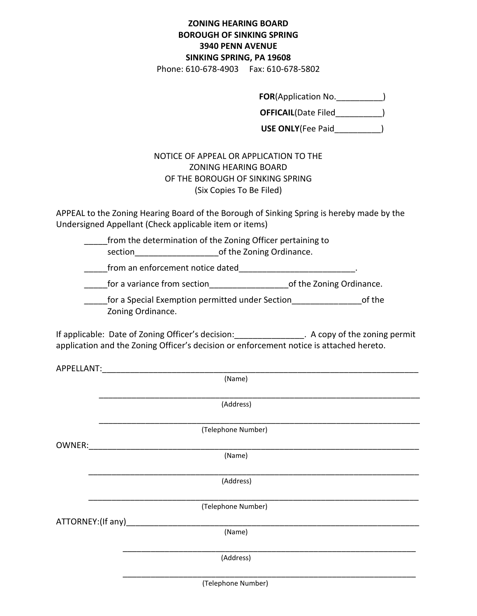## **ZONING HEARING BOARD BOROUGH OF SINKING SPRING 3940 PENN AVENUE SINKING SPRING, PA 19608**

Phone: 610-678-4903 Fax: 610-678-5802

**FOR**(Application No.\_\_\_\_\_\_\_\_\_\_)

**OFFICAIL**(Date Filed\_\_\_\_\_\_\_\_\_\_)

**USE ONLY**(Fee Paid\_\_\_\_\_\_\_\_\_\_)

## NOTICE OF APPEAL OR APPLICATION TO THE ZONING HEARING BOARD OF THE BOROUGH OF SINKING SPRING (Six Copies To Be Filed)

APPEAL to the Zoning Hearing Board of the Borough of Sinking Spring is hereby made by the Undersigned Appellant (Check applicable item or items)

\_\_\_\_\_from the determination of the Zoning Officer pertaining to

section entity of the Zoning Ordinance.

from an enforcement notice dated

for a variance from section example 10 of the Zoning Ordinance.

for a Special Exemption permitted under Section **Example 20** of the Zoning Ordinance.

If applicable: Date of Zoning Officer's decision: The A copy of the zoning permit application and the Zoning Officer's decision or enforcement notice is attached hereto.

| APPELLANT:                |                    |  |
|---------------------------|--------------------|--|
|                           | (Name)             |  |
|                           |                    |  |
|                           | (Address)          |  |
|                           | (Telephone Number) |  |
| OWNER:                    |                    |  |
|                           | (Name)             |  |
|                           |                    |  |
|                           | (Address)          |  |
|                           | (Telephone Number) |  |
|                           |                    |  |
| ATTORNEY:(If any)________ |                    |  |
|                           | (Name)             |  |
|                           | (Address)          |  |
|                           |                    |  |

(Telephone Number)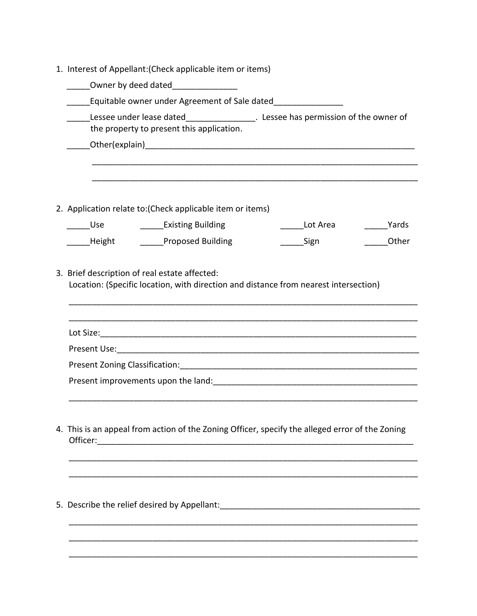| 1. Interest of Appellant: (Check applicable item or items)                                                                            |  |  |  |  |  |  |
|---------------------------------------------------------------------------------------------------------------------------------------|--|--|--|--|--|--|
| Owner by deed dated <b>container the COV</b>                                                                                          |  |  |  |  |  |  |
| Equitable owner under Agreement of Sale dated                                                                                         |  |  |  |  |  |  |
| Lessee under lease dated___________________. Lessee has permission of the owner of                                                    |  |  |  |  |  |  |
| the property to present this application.                                                                                             |  |  |  |  |  |  |
|                                                                                                                                       |  |  |  |  |  |  |
|                                                                                                                                       |  |  |  |  |  |  |
|                                                                                                                                       |  |  |  |  |  |  |
|                                                                                                                                       |  |  |  |  |  |  |
| 2. Application relate to: (Check applicable item or items)                                                                            |  |  |  |  |  |  |
| _____Use ________________Existing Building<br><b>Example Yards</b><br>Lot Area                                                        |  |  |  |  |  |  |
| Height <b>National Proposed Building</b><br>Other<br>Sign                                                                             |  |  |  |  |  |  |
|                                                                                                                                       |  |  |  |  |  |  |
| 3. Brief description of real estate affected:<br>Location: (Specific location, with direction and distance from nearest intersection) |  |  |  |  |  |  |
|                                                                                                                                       |  |  |  |  |  |  |
|                                                                                                                                       |  |  |  |  |  |  |
|                                                                                                                                       |  |  |  |  |  |  |
|                                                                                                                                       |  |  |  |  |  |  |
|                                                                                                                                       |  |  |  |  |  |  |
| Present improvements upon the land: The Content of the Content of the land:                                                           |  |  |  |  |  |  |
|                                                                                                                                       |  |  |  |  |  |  |
|                                                                                                                                       |  |  |  |  |  |  |
| 4. This is an appeal from action of the Zoning Officer, specify the alleged error of the Zoning                                       |  |  |  |  |  |  |
| Officer: <u>with a series of the series of the series of the series of the series of the series of the series of</u>                  |  |  |  |  |  |  |
|                                                                                                                                       |  |  |  |  |  |  |
|                                                                                                                                       |  |  |  |  |  |  |
|                                                                                                                                       |  |  |  |  |  |  |
| 5. Describe the relief desired by Appellant: ___________________________________                                                      |  |  |  |  |  |  |
|                                                                                                                                       |  |  |  |  |  |  |
|                                                                                                                                       |  |  |  |  |  |  |
|                                                                                                                                       |  |  |  |  |  |  |

\_\_\_\_\_\_\_\_\_\_\_\_\_\_\_\_\_\_\_\_\_\_\_\_\_\_\_\_\_\_\_\_\_\_\_\_\_\_\_\_\_\_\_\_\_\_\_\_\_\_\_\_\_\_\_\_\_\_\_\_\_\_\_\_\_\_\_\_\_\_\_\_\_\_\_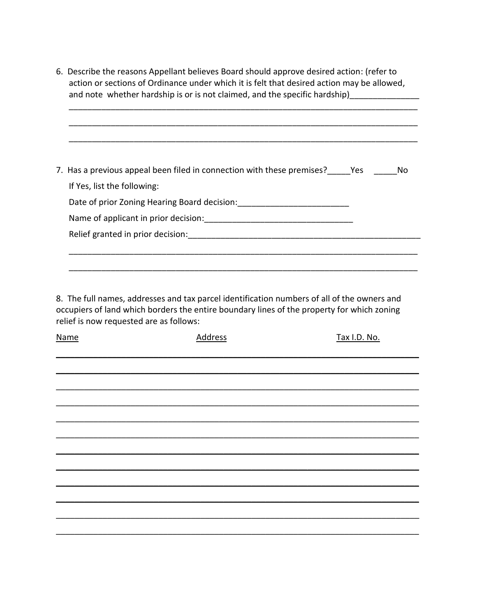6. Describe the reasons Appellant believes Board should approve desired action: (refer to action or sections of Ordinance under which it is felt that desired action may be allowed, and note whether hardship is or is not claimed, and the specific hardship)\_

| 7. Has a previous appeal been filed in connection with these premises? Thes | Nο |
|-----------------------------------------------------------------------------|----|
| If Yes, list the following:                                                 |    |
| Date of prior Zoning Hearing Board decision:                                |    |
| Name of applicant in prior decision:                                        |    |
| Relief granted in prior decision:                                           |    |

8. The full names, addresses and tax parcel identification numbers of all of the owners and occupiers of land which borders the entire boundary lines of the property for which zoning relief is now requested are as follows:

| <u>Name</u> | <u>Address</u> | <u>Tax I.D. No.</u> |
|-------------|----------------|---------------------|
|             |                |                     |
|             |                |                     |
|             |                |                     |
|             |                |                     |
|             |                |                     |
|             |                |                     |
|             |                |                     |
|             |                |                     |
|             |                |                     |
|             |                |                     |
|             |                |                     |